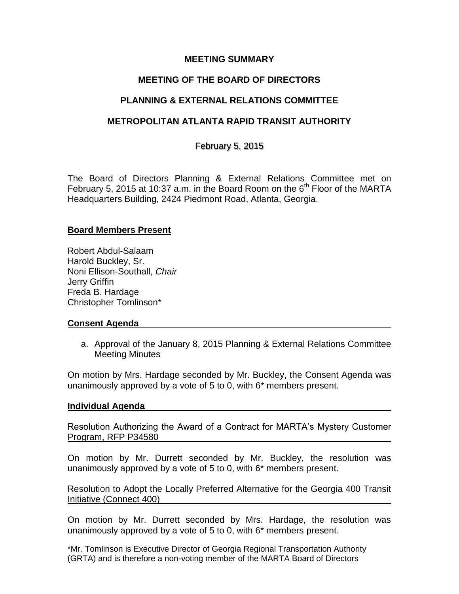### **MEETING SUMMARY**

# **MEETING OF THE BOARD OF DIRECTORS**

# **PLANNING & EXTERNAL RELATIONS COMMITTEE**

## **METROPOLITAN ATLANTA RAPID TRANSIT AUTHORITY**

February 5, 2015

The Board of Directors Planning & External Relations Committee met on February 5, 2015 at 10:37 a.m. in the Board Room on the  $6<sup>th</sup>$  Floor of the MARTA Headquarters Building, 2424 Piedmont Road, Atlanta, Georgia.

### **Board Members Present**

Robert Abdul-Salaam Harold Buckley, Sr. Noni Ellison-Southall, *Chair*  Jerry Griffin Freda B. Hardage Christopher Tomlinson\*

### **Consent Agenda**

a. Approval of the January 8, 2015 Planning & External Relations Committee Meeting Minutes

On motion by Mrs. Hardage seconded by Mr. Buckley, the Consent Agenda was unanimously approved by a vote of 5 to 0, with 6\* members present.

### **Individual Agenda**

Resolution Authorizing the Award of a Contract for MARTA's Mystery Customer Program, RFP P34580

On motion by Mr. Durrett seconded by Mr. Buckley, the resolution was unanimously approved by a vote of 5 to 0, with 6\* members present.

Resolution to Adopt the Locally Preferred Alternative for the Georgia 400 Transit Initiative (Connect 400)

On motion by Mr. Durrett seconded by Mrs. Hardage, the resolution was unanimously approved by a vote of 5 to 0, with 6\* members present.

\*Mr. Tomlinson is Executive Director of Georgia Regional Transportation Authority (GRTA) and is therefore a non-voting member of the MARTA Board of Directors